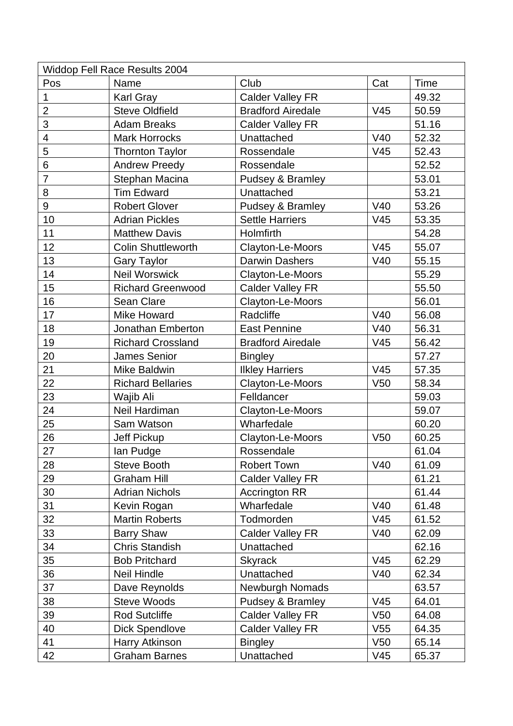| <b>Widdop Fell Race Results 2004</b> |                           |                          |                 |             |  |  |  |
|--------------------------------------|---------------------------|--------------------------|-----------------|-------------|--|--|--|
| Pos                                  | Name                      | Club                     | Cat             | <b>Time</b> |  |  |  |
| 1                                    | <b>Karl Gray</b>          | <b>Calder Valley FR</b>  |                 | 49.32       |  |  |  |
| $\overline{2}$                       | <b>Steve Oldfield</b>     | <b>Bradford Airedale</b> | V45             | 50.59       |  |  |  |
| 3                                    | <b>Adam Breaks</b>        | <b>Calder Valley FR</b>  |                 | 51.16       |  |  |  |
| $\overline{\mathcal{A}}$             | <b>Mark Horrocks</b>      | Unattached               | V40             | 52.32       |  |  |  |
| 5                                    | <b>Thornton Taylor</b>    | Rossendale               | V45             | 52.43       |  |  |  |
| 6                                    | <b>Andrew Preedy</b>      | Rossendale               |                 | 52.52       |  |  |  |
| $\overline{7}$                       | Stephan Macina            | Pudsey & Bramley         |                 | 53.01       |  |  |  |
| 8                                    | <b>Tim Edward</b>         | Unattached               |                 | 53.21       |  |  |  |
| $\boldsymbol{9}$                     | <b>Robert Glover</b>      | Pudsey & Bramley         | V40             | 53.26       |  |  |  |
| 10                                   | <b>Adrian Pickles</b>     | <b>Settle Harriers</b>   | V <sub>45</sub> | 53.35       |  |  |  |
| 11                                   | <b>Matthew Davis</b>      | Holmfirth                |                 | 54.28       |  |  |  |
| 12                                   | <b>Colin Shuttleworth</b> | Clayton-Le-Moors         | V45             | 55.07       |  |  |  |
| 13                                   | <b>Gary Taylor</b>        | <b>Darwin Dashers</b>    | V40             | 55.15       |  |  |  |
| 14                                   | Neil Worswick             | Clayton-Le-Moors         |                 | 55.29       |  |  |  |
| 15                                   | <b>Richard Greenwood</b>  | <b>Calder Valley FR</b>  |                 | 55.50       |  |  |  |
| 16                                   | <b>Sean Clare</b>         | Clayton-Le-Moors         |                 | 56.01       |  |  |  |
| 17                                   | <b>Mike Howard</b>        | Radcliffe                | V40             | 56.08       |  |  |  |
| 18                                   | Jonathan Emberton         | <b>East Pennine</b>      | V40             | 56.31       |  |  |  |
| 19                                   | <b>Richard Crossland</b>  | <b>Bradford Airedale</b> | V45             | 56.42       |  |  |  |
| 20                                   | <b>James Senior</b>       | <b>Bingley</b>           |                 | 57.27       |  |  |  |
| 21                                   | Mike Baldwin              | <b>Ilkley Harriers</b>   | V45             | 57.35       |  |  |  |
| 22                                   | <b>Richard Bellaries</b>  | Clayton-Le-Moors         | V <sub>50</sub> | 58.34       |  |  |  |
| 23                                   | Wajib Ali                 | Felldancer               |                 | 59.03       |  |  |  |
| 24                                   | Neil Hardiman             | Clayton-Le-Moors         |                 | 59.07       |  |  |  |
| 25                                   | Sam Watson                | Wharfedale               |                 | 60.20       |  |  |  |
| 26                                   | Jeff Pickup               | Clayton-Le-Moors         | V <sub>50</sub> | 60.25       |  |  |  |
| 27                                   | lan Pudge                 | Rossendale               |                 | 61.04       |  |  |  |
| 28                                   | Steve Booth               | <b>Robert Town</b>       | V40             | 61.09       |  |  |  |
| 29                                   | <b>Graham Hill</b>        | <b>Calder Valley FR</b>  |                 | 61.21       |  |  |  |
| 30                                   | <b>Adrian Nichols</b>     | <b>Accrington RR</b>     |                 | 61.44       |  |  |  |
| 31                                   | Kevin Rogan               | Wharfedale               | V40             | 61.48       |  |  |  |
| 32                                   | <b>Martin Roberts</b>     | Todmorden                | V45             | 61.52       |  |  |  |
| 33                                   | <b>Barry Shaw</b>         | <b>Calder Valley FR</b>  | V40             | 62.09       |  |  |  |
| 34                                   | <b>Chris Standish</b>     | Unattached               |                 | 62.16       |  |  |  |
| 35                                   | <b>Bob Pritchard</b>      | <b>Skyrack</b>           | V45             | 62.29       |  |  |  |
| 36                                   | <b>Neil Hindle</b>        | Unattached               | V40             | 62.34       |  |  |  |
| 37                                   | Dave Reynolds             | Newburgh Nomads          |                 | 63.57       |  |  |  |
| 38                                   | <b>Steve Woods</b>        | Pudsey & Bramley         | V45             | 64.01       |  |  |  |
| 39                                   | <b>Rod Sutcliffe</b>      | <b>Calder Valley FR</b>  | V <sub>50</sub> | 64.08       |  |  |  |
| 40                                   | <b>Dick Spendlove</b>     | <b>Calder Valley FR</b>  | V <sub>55</sub> | 64.35       |  |  |  |
| 41                                   | Harry Atkinson            | <b>Bingley</b>           | V <sub>50</sub> | 65.14       |  |  |  |
| 42                                   | <b>Graham Barnes</b>      | Unattached               | V <sub>45</sub> | 65.37       |  |  |  |